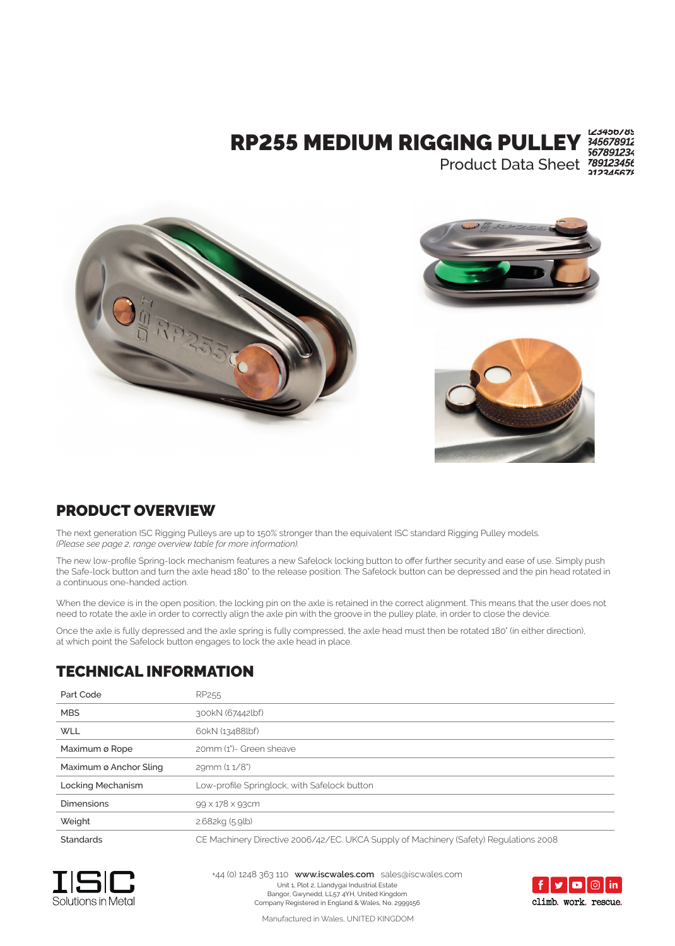# RP255 MEDIUM RIGGING PULLEY

Product Data Sheet

123450185 345678912 567891234



### PRODUCT OVERVIEW

The next generation ISC Rigging Pulleys are up to 150% stronger than the equivalent ISC standard Rigging Pulley models. *(Please see page 2, range overview table for more information).*

The new low-profile Spring-lock mechanism features a new Safelock locking button to offer further security and ease of use. Simply push the Safe-lock button and turn the axle head 180° to the release position. The Safelock button can be depressed and the pin head rotated in a continuous one-handed action.

When the device is in the open position, the locking pin on the axle is retained in the correct alignment. This means that the user does not need to rotate the axle in order to correctly align the axle pin with the groove in the pulley plate, in order to close the device.

Once the axle is fully depressed and the axle spring is fully compressed, the axle head must then be rotated 180° (in either direction), at which point the Safelock button engages to lock the axle head in place.

#### TECHNICAL INFORMATION

| Part Code              | RP <sub>255</sub>                                                                     |
|------------------------|---------------------------------------------------------------------------------------|
| <b>MBS</b>             | 300kN (67442lbf)                                                                      |
| <b>WLL</b>             | 60kN (13488lbf)                                                                       |
| Maximum ø Rope         | 20mm (1")- Green sheave                                                               |
| Maximum ø Anchor Sling | 29mm (11/8")                                                                          |
| Locking Mechanism      | Low-profile Springlock, with Safelock button                                          |
| <b>Dimensions</b>      | 99 x 178 x 93cm                                                                       |
| Weight                 | 2.682kg (5.9lb)                                                                       |
| <b>Standards</b>       | CE Machinery Directive 2006/42/EC. UKCA Supply of Machinery (Safety) Regulations 2008 |



Unit 1, Plot 2, Llandygai Industrial Estate Bangor, Gwynedd, LL57 4YH, United Kingdom Company Registered in England & Wales, No. 2999156 +44 (0) 1248 363 110 **www.iscwales.com** sales@iscwales.com



Manufactured in Wales, UNITED KINGDOM